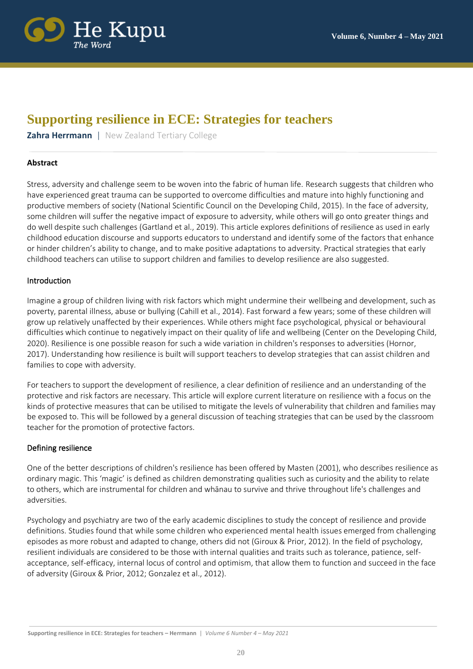

# **Supporting resilience in ECE: Strategies for teachers**

**Zahra Herrmann** | New Zealand Tertiary College

# **Abstract**

Stress, adversity and challenge seem to be woven into the fabric of human life. Research suggests that children who have experienced great trauma can be supported to overcome difficulties and mature into highly functioning and productive members of society (National Scientific Council on the Developing Child, 2015). In the face of adversity, some children will suffer the negative impact of exposure to adversity, while others will go onto greater things and do well despite such challenges (Gartland et al., 2019). This article explores definitions of resilience as used in early childhood education discourse and supports educators to understand and identify some of the factors that enhance or hinder children's ability to change, and to make positive adaptations to adversity. Practical strategies that early childhood teachers can utilise to support children and families to develop resilience are also suggested.

# Introduction

Imagine a group of children living with risk factors which might undermine their wellbeing and development, such as poverty, parental illness, abuse or bullying (Cahill et al., 2014). Fast forward a few years; some of these children will grow up relatively unaffected by their experiences. While others might face psychological, physical or behavioural difficulties which continue to negatively impact on their quality of life and wellbeing (Center on the Developing Child, 2020). Resilience is one possible reason for such a wide variation in children's responses to adversities (Hornor, 2017). Understanding how resilience is built will support teachers to develop strategies that can assist children and families to cope with adversity.

For teachers to support the development of resilience, a clear definition of resilience and an understanding of the protective and risk factors are necessary. This article will explore current literature on resilience with a focus on the kinds of protective measures that can be utilised to mitigate the levels of vulnerability that children and families may be exposed to. This will be followed by a general discussion of teaching strategies that can be used by the classroom teacher for the promotion of protective factors.

# Defining resilience

One of the better descriptions of children's resilience has been offered by Masten (2001), who describes resilience as ordinary magic. This 'magic' is defined as children demonstrating qualities such as curiosity and the ability to relate to others, which are instrumental for children and whānau to survive and thrive throughout life's challenges and adversities.

Psychology and psychiatry are two of the early academic disciplines to study the concept of resilience and provide definitions. Studies found that while some children who experienced mental health issues emerged from challenging episodes as more robust and adapted to change, others did not (Giroux & Prior, 2012). In the field of psychology, resilient individuals are considered to be those with internal qualities and traits such as tolerance, patience, selfacceptance, self-efficacy, internal locus of control and optimism, that allow them to function and succeed in the face of adversity (Giroux & Prior, 2012; Gonzalez et al., 2012).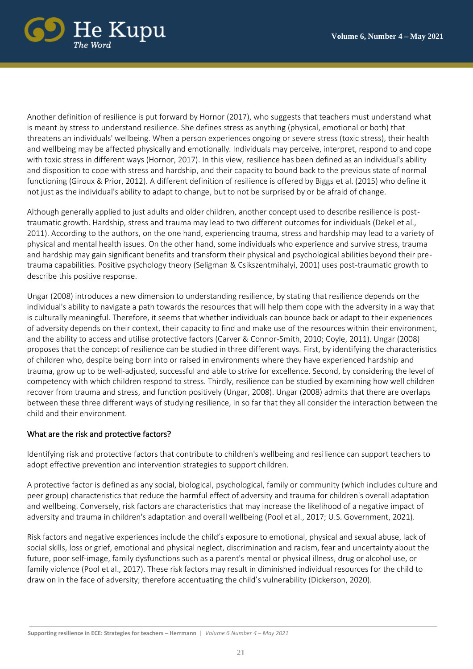

Another definition of resilience is put forward by Hornor (2017), who suggests that teachers must understand what is meant by stress to understand resilience. She defines stress as anything (physical, emotional or both) that threatens an individuals' wellbeing. When a person experiences ongoing or severe stress (toxic stress), their health and wellbeing may be affected physically and emotionally. Individuals may perceive, interpret, respond to and cope with toxic stress in different ways (Hornor, 2017). In this view, resilience has been defined as an individual's ability and disposition to cope with stress and hardship, and their capacity to bound back to the previous state of normal functioning (Giroux & Prior, 2012). A different definition of resilience is offered by Biggs et al. (2015) who define it not just as the individual's ability to adapt to change, but to not be surprised by or be afraid of change.

Although generally applied to just adults and older children, another concept used to describe resilience is posttraumatic growth. Hardship, stress and trauma may lead to two different outcomes for individuals (Dekel et al., 2011). According to the authors, on the one hand, experiencing trauma, stress and hardship may lead to a variety of physical and mental health issues. On the other hand, some individuals who experience and survive stress, trauma and hardship may gain significant benefits and transform their physical and psychological abilities beyond their pretrauma capabilities. Positive psychology theory (Seligman & Csikszentmihalyi, 2001) uses post-traumatic growth to describe this positive response.

Ungar (2008) introduces a new dimension to understanding resilience, by stating that resilience depends on the individual's ability to navigate a path towards the resources that will help them cope with the adversity in a way that is culturally meaningful. Therefore, it seems that whether individuals can bounce back or adapt to their experiences of adversity depends on their context, their capacity to find and make use of the resources within their environment, and the ability to access and utilise protective factors (Carver & Connor-Smith, 2010; Coyle, 2011). Ungar (2008) proposes that the concept of resilience can be studied in three different ways. First, by identifying the characteristics of children who, despite being born into or raised in environments where they have experienced hardship and trauma, grow up to be well-adjusted, successful and able to strive for excellence. Second, by considering the level of competency with which children respond to stress. Thirdly, resilience can be studied by examining how well children recover from trauma and stress, and function positively (Ungar, 2008). Ungar (2008) admits that there are overlaps between these three different ways of studying resilience, in so far that they all consider the interaction between the child and their environment.

## What are the risk and protective factors?

Identifying risk and protective factors that contribute to children's wellbeing and resilience can support teachers to adopt effective prevention and intervention strategies to support children.

A protective factor is defined as any social, biological, psychological, family or community (which includes culture and peer group) characteristics that reduce the harmful effect of adversity and trauma for children's overall adaptation and wellbeing. Conversely, risk factors are characteristics that may increase the likelihood of a negative impact of adversity and trauma in children's adaptation and overall wellbeing (Pool et al., 2017; U.S. Government, 2021).

Risk factors and negative experiences include the child's exposure to emotional, physical and sexual abuse, lack of social skills, loss or grief, emotional and physical neglect, discrimination and racism, fear and uncertainty about the future, poor self-image, family dysfunctions such as a parent's mental or physical illness, drug or alcohol use, or family violence (Pool et al., 2017). These risk factors may result in diminished individual resources for the child to draw on in the face of adversity; therefore accentuating the child's vulnerability (Dickerson, 2020).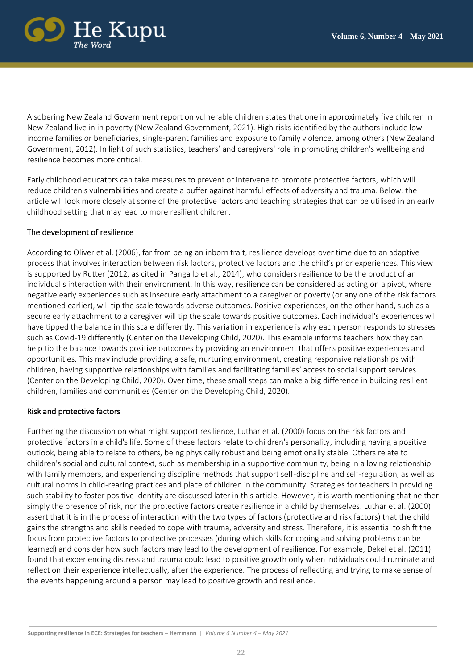

A sobering New Zealand Government report on vulnerable children states that one in approximately five children in New Zealand live in in poverty (New Zealand Government, 2021). High risks identified by the authors include lowincome families or beneficiaries, single-parent families and exposure to family violence, among others (New Zealand Government, 2012). In light of such statistics, teachers' and caregivers' role in promoting children's wellbeing and resilience becomes more critical.

Early childhood educators can take measures to prevent or intervene to promote protective factors, which will reduce children's vulnerabilities and create a buffer against harmful effects of adversity and trauma. Below, the article will look more closely at some of the protective factors and teaching strategies that can be utilised in an early childhood setting that may lead to more resilient children.

# The development of resilience

According to Oliver et al. (2006), far from being an inborn trait, resilience develops over time due to an adaptive process that involves interaction between risk factors, protective factors and the child's prior experiences. This view is supported by Rutter (2012, as cited in Pangallo et al., 2014), who considers resilience to be the product of an individual's interaction with their environment. In this way, resilience can be considered as acting on a pivot, where negative early experiences such as insecure early attachment to a caregiver or poverty (or any one of the risk factors mentioned earlier), will tip the scale towards adverse outcomes. Positive experiences, on the other hand, such as a secure early attachment to a caregiver will tip the scale towards positive outcomes. Each individual's experiences will have tipped the balance in this scale differently. This variation in experience is why each person responds to stresses such as Covid-19 differently (Center on the Developing Child, 2020). This example informs teachers how they can help tip the balance towards positive outcomes by providing an environment that offers positive experiences and opportunities. This may include providing a safe, nurturing environment, creating responsive relationships with children, having supportive relationships with families and facilitating families' access to social support services (Center on the Developing Child, 2020). Over time, these small steps can make a big difference in building resilient children, families and communities (Center on the Developing Child, 2020).

## Risk and protective factors

Furthering the discussion on what might support resilience, Luthar et al. (2000) focus on the risk factors and protective factors in a child's life. Some of these factors relate to children's personality, including having a positive outlook, being able to relate to others, being physically robust and being emotionally stable. Others relate to children's social and cultural context, such as membership in a supportive community, being in a loving relationship with family members, and experiencing discipline methods that support self-discipline and self-regulation, as well as cultural norms in child-rearing practices and place of children in the community. Strategies for teachers in providing such stability to foster positive identity are discussed later in this article. However, it is worth mentioning that neither simply the presence of risk, nor the protective factors create resilience in a child by themselves. Luthar et al. (2000) assert that it is in the process of interaction with the two types of factors (protective and risk factors) that the child gains the strengths and skills needed to cope with trauma, adversity and stress. Therefore, it is essential to shift the focus from protective factors to protective processes (during which skills for coping and solving problems can be learned) and consider how such factors may lead to the development of resilience. For example, Dekel et al. (2011) found that experiencing distress and trauma could lead to positive growth only when individuals could ruminate and reflect on their experience intellectually, after the experience. The process of reflecting and trying to make sense of the events happening around a person may lead to positive growth and resilience.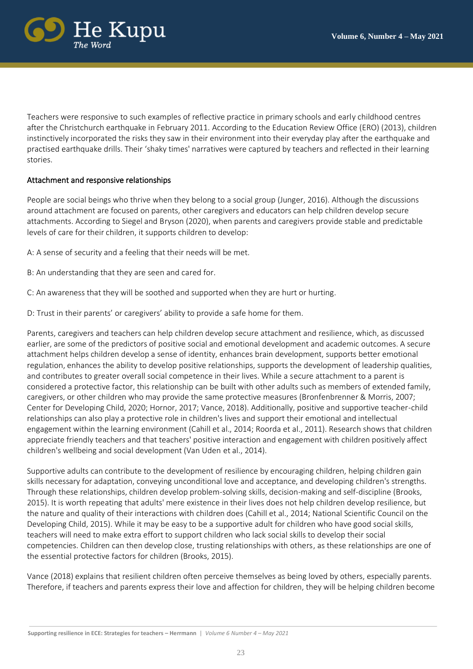

Teachers were responsive to such examples of reflective practice in primary schools and early childhood centres after the Christchurch earthquake in February 2011. According to the Education Review Office (ERO) (2013), children instinctively incorporated the risks they saw in their environment into their everyday play after the earthquake and practised earthquake drills. Their 'shaky times' narratives were captured by teachers and reflected in their learning stories.

# Attachment and responsive relationships

People are social beings who thrive when they belong to a social group (Junger, 2016). Although the discussions around attachment are focused on parents, other caregivers and educators can help children develop secure attachments. According to Siegel and Bryson (2020), when parents and caregivers provide stable and predictable levels of care for their children, it supports children to develop:

A: A sense of security and a feeling that their needs will be met.

- B: An understanding that they are seen and cared for.
- C: An awareness that they will be soothed and supported when they are hurt or hurting.
- D: Trust in their parents' or caregivers' ability to provide a safe home for them.

Parents, caregivers and teachers can help children develop secure attachment and resilience, which, as discussed earlier, are some of the predictors of positive social and emotional development and academic outcomes. A secure attachment helps children develop a sense of identity, enhances brain development, supports better emotional regulation, enhances the ability to develop positive relationships, supports the development of leadership qualities, and contributes to greater overall social competence in their lives. While a secure attachment to a parent is considered a protective factor, this relationship can be built with other adults such as members of extended family, caregivers, or other children who may provide the same protective measures (Bronfenbrenner & Morris, 2007; Center for Developing Child, 2020; Hornor, 2017; Vance, 2018). Additionally, positive and supportive teacher-child relationships can also play a protective role in children's lives and support their emotional and intellectual engagement within the learning environment (Cahill et al., 2014; Roorda et al., 2011). Research shows that children appreciate friendly teachers and that teachers' positive interaction and engagement with children positively affect children's wellbeing and social development (Van Uden et al., 2014).

Supportive adults can contribute to the development of resilience by encouraging children, helping children gain skills necessary for adaptation, conveying unconditional love and acceptance, and developing children's strengths. Through these relationships, children develop problem-solving skills, decision-making and self-discipline (Brooks, 2015). It is worth repeating that adults' mere existence in their lives does not help children develop resilience, but the nature and quality of their interactions with children does (Cahill et al., 2014; National Scientific Council on the Developing Child, 2015). While it may be easy to be a supportive adult for children who have good social skills, teachers will need to make extra effort to support children who lack social skills to develop their social competencies. Children can then develop close, trusting relationships with others, as these relationships are one of the essential protective factors for children (Brooks, 2015).

Vance (2018) explains that resilient children often perceive themselves as being loved by others, especially parents. Therefore, if teachers and parents express their love and affection for children, they will be helping children become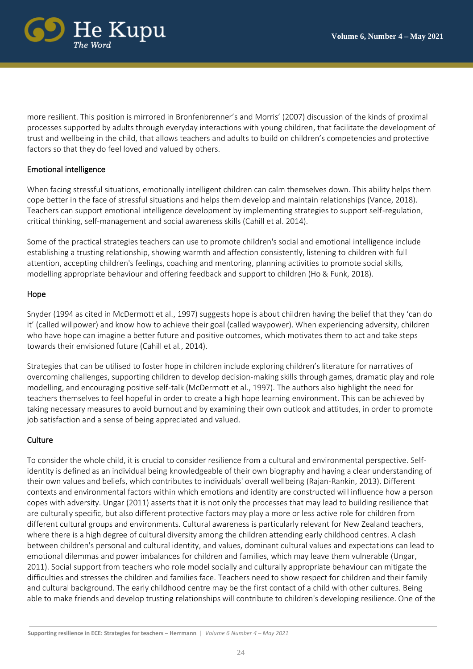

more resilient. This position is mirrored in Bronfenbrenner's and Morris' (2007) discussion of the kinds of proximal processes supported by adults through everyday interactions with young children, that facilitate the development of trust and wellbeing in the child, that allows teachers and adults to build on children's competencies and protective factors so that they do feel loved and valued by others.

# Emotional intelligence

When facing stressful situations, emotionally intelligent children can calm themselves down. This ability helps them cope better in the face of stressful situations and helps them develop and maintain relationships (Vance, 2018). Teachers can support emotional intelligence development by implementing strategies to support self-regulation, critical thinking, self-management and social awareness skills (Cahill et al. 2014).

Some of the practical strategies teachers can use to promote children's social and emotional intelligence include establishing a trusting relationship, showing warmth and affection consistently, listening to children with full attention, accepting children's feelings, coaching and mentoring, planning activities to promote social skills, modelling appropriate behaviour and offering feedback and support to children (Ho & Funk, 2018).

#### Hope

Snyder (1994 as cited in McDermott et al., 1997) suggests hope is about children having the belief that they 'can do it' (called willpower) and know how to achieve their goal (called waypower). When experiencing adversity, children who have hope can imagine a better future and positive outcomes, which motivates them to act and take steps towards their envisioned future (Cahill et al., 2014).

Strategies that can be utilised to foster hope in children include exploring children's literature for narratives of overcoming challenges, supporting children to develop decision-making skills through games, dramatic play and role modelling, and encouraging positive self-talk (McDermott et al., 1997). The authors also highlight the need for teachers themselves to feel hopeful in order to create a high hope learning environment. This can be achieved by taking necessary measures to avoid burnout and by examining their own outlook and attitudes, in order to promote job satisfaction and a sense of being appreciated and valued.

## **Culture**

To consider the whole child, it is crucial to consider resilience from a cultural and environmental perspective. Selfidentity is defined as an individual being knowledgeable of their own biography and having a clear understanding of their own values and beliefs, which contributes to individuals' overall wellbeing (Rajan-Rankin, 2013). Different contexts and environmental factors within which emotions and identity are constructed will influence how a person copes with adversity. Ungar (2011) asserts that it is not only the processes that may lead to building resilience that are culturally specific, but also different protective factors may play a more or less active role for children from different cultural groups and environments. Cultural awareness is particularly relevant for New Zealand teachers, where there is a high degree of cultural diversity among the children attending early childhood centres. A clash between children's personal and cultural identity, and values, dominant cultural values and expectations can lead to emotional dilemmas and power imbalances for children and families, which may leave them vulnerable (Ungar, 2011). Social support from teachers who role model socially and culturally appropriate behaviour can mitigate the difficulties and stresses the children and families face. Teachers need to show respect for children and their family and cultural background. The early childhood centre may be the first contact of a child with other cultures. Being able to make friends and develop trusting relationships will contribute to children's developing resilience. One of the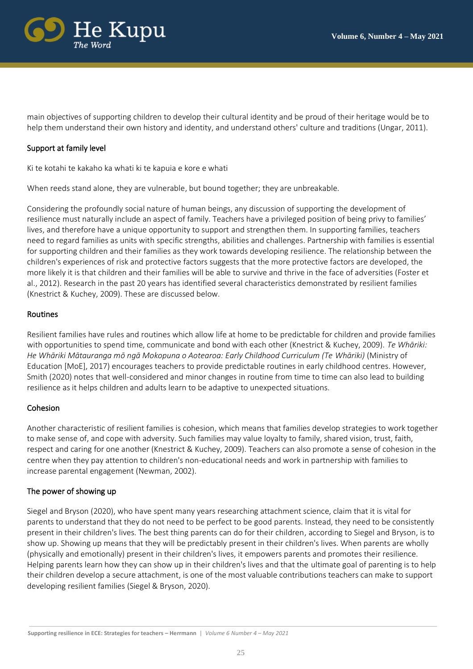

main objectives of supporting children to develop their cultural identity and be proud of their heritage would be to help them understand their own history and identity, and understand others' culture and traditions (Ungar, 2011).

# Support at family level

Ki te kotahi te kakaho ka whati ki te kapuia e kore e whati

When reeds stand alone, they are vulnerable, but bound together; they are unbreakable.

Considering the profoundly social nature of human beings, any discussion of supporting the development of resilience must naturally include an aspect of family. Teachers have a privileged position of being privy to families' lives, and therefore have a unique opportunity to support and strengthen them. In supporting families, teachers need to regard families as units with specific strengths, abilities and challenges. Partnership with families is essential for supporting children and their families as they work towards developing resilience. The relationship between the children's experiences of risk and protective factors suggests that the more protective factors are developed, the more likely it is that children and their families will be able to survive and thrive in the face of adversities (Foster et al., 2012). Research in the past 20 years has identified several characteristics demonstrated by resilient families (Knestrict & Kuchey, 2009). These are discussed below.

## Routines

Resilient families have rules and routines which allow life at home to be predictable for children and provide families with opportunities to spend time, communicate and bond with each other (Knestrict & Kuchey, 2009). *Te Whāriki: He Whāriki Mātauranga mō ngā Mokopuna o Aotearoa: Early Childhood Curriculum (Te Whāriki)* (Ministry of Education [MoE], 2017) encourages teachers to provide predictable routines in early childhood centres. However, Smith (2020) notes that well-considered and minor changes in routine from time to time can also lead to building resilience as it helps children and adults learn to be adaptive to unexpected situations.

## Cohesion

Another characteristic of resilient families is cohesion, which means that families develop strategies to work together to make sense of, and cope with adversity. Such families may value loyalty to family, shared vision, trust, faith, respect and caring for one another (Knestrict & Kuchey, 2009). Teachers can also promote a sense of cohesion in the centre when they pay attention to children's non-educational needs and work in partnership with families to increase parental engagement (Newman, 2002).

## The power of showing up

Siegel and Bryson (2020), who have spent many years researching attachment science, claim that it is vital for parents to understand that they do not need to be perfect to be good parents. Instead, they need to be consistently present in their children's lives. The best thing parents can do for their children, according to Siegel and Bryson, is to show up. Showing up means that they will be predictably present in their children's lives. When parents are wholly (physically and emotionally) present in their children's lives, it empowers parents and promotes their resilience. Helping parents learn how they can show up in their children's lives and that the ultimate goal of parenting is to help their children develop a secure attachment, is one of the most valuable contributions teachers can make to support developing resilient families (Siegel & Bryson, 2020).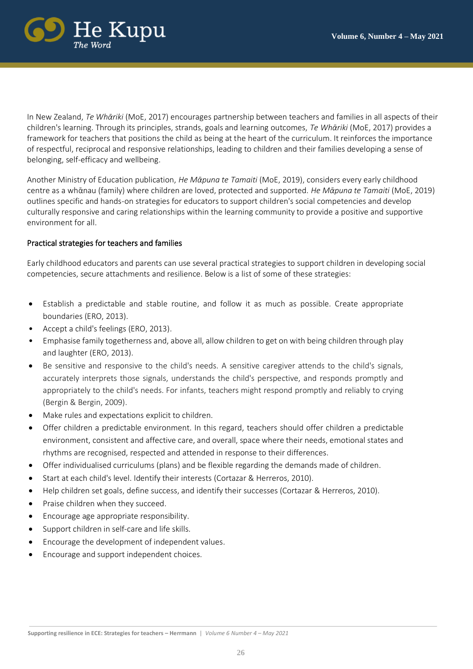

In New Zealand, *Te Whᾱriki* (MoE, 2017) encourages partnership between teachers and families in all aspects of their children's learning. Through its principles, strands, goals and learning outcomes, *Te Whᾱriki* (MoE, 2017) provides a framework for teachers that positions the child as being at the heart of the curriculum. It reinforces the importance of respectful, reciprocal and responsive relationships, leading to children and their families developing a sense of belonging, self-efficacy and wellbeing.

Another Ministry of Education publication, *He Mᾱpuna te Tamaiti* (MoE, 2019), considers every early childhood centre as a whᾱnau (family) where children are loved, protected and supported. *He Mᾱpuna te Tamaiti* (MoE, 2019) outlines specific and hands-on strategies for educators to support children's social competencies and develop culturally responsive and caring relationships within the learning community to provide a positive and supportive environment for all.

# Practical strategies for teachers and families

Early childhood educators and parents can use several practical strategies to support children in developing social competencies, secure attachments and resilience. Below is a list of some of these strategies:

- Establish a predictable and stable routine, and follow it as much as possible. Create appropriate boundaries (ERO, 2013).
- Accept a child's feelings (ERO, 2013).
- Emphasise family togetherness and, above all, allow children to get on with being children through play and laughter (ERO, 2013).
- Be sensitive and responsive to the child's needs. A sensitive caregiver attends to the child's signals, accurately interprets those signals, understands the child's perspective, and responds promptly and appropriately to the child's needs. For infants, teachers might respond promptly and reliably to crying (Bergin & Bergin, 2009).
- Make rules and expectations explicit to children.
- Offer children a predictable environment. In this regard, teachers should offer children a predictable environment, consistent and affective care, and overall, space where their needs, emotional states and rhythms are recognised, respected and attended in response to their differences.
- Offer individualised curriculums (plans) and be flexible regarding the demands made of children.
- Start at each child's level. Identify their interests (Cortazar & Herreros, 2010).
- Help children set goals, define success, and identify their successes (Cortazar & Herreros, 2010).
- Praise children when they succeed.
- Encourage age appropriate responsibility.
- Support children in self-care and life skills.
- Encourage the development of independent values.
- Encourage and support independent choices.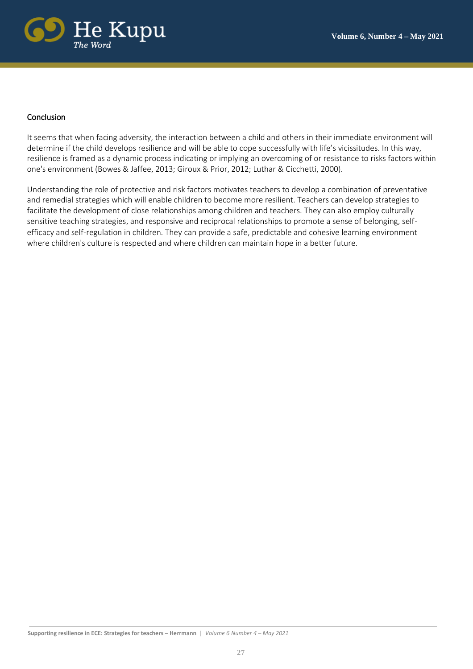

# Conclusion

It seems that when facing adversity, the interaction between a child and others in their immediate environment will determine if the child develops resilience and will be able to cope successfully with life's vicissitudes. In this way, resilience is framed as a dynamic process indicating or implying an overcoming of or resistance to risks factors within one's environment (Bowes & Jaffee, 2013; Giroux & Prior, 2012; Luthar & Cicchetti, 2000).

Understanding the role of protective and risk factors motivates teachers to develop a combination of preventative and remedial strategies which will enable children to become more resilient. Teachers can develop strategies to facilitate the development of close relationships among children and teachers. They can also employ culturally sensitive teaching strategies, and responsive and reciprocal relationships to promote a sense of belonging, selfefficacy and self-regulation in children. They can provide a safe, predictable and cohesive learning environment where children's culture is respected and where children can maintain hope in a better future.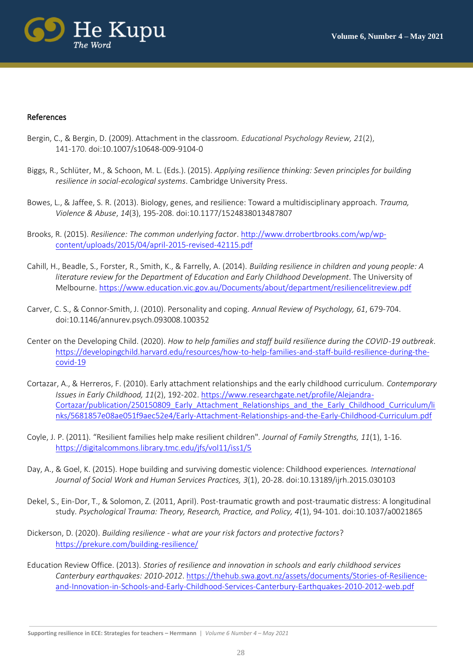

#### References

- Bergin, C., & Bergin, D. (2009). Attachment in the classroom. *Educational Psychology Review, 21*(2), 141-170. [doi:10.1007/s10648-009-9104-0](https://dio.org/10.1007/s10648-009-9104-0)
- Biggs, R., Schlüter, M., & Schoon, M. L. (Eds.). (2015). *Applying resilience thinking: Seven principles for building resilience in social-ecological systems*. Cambridge University Press.
- Bowes, L., & Jaffee, S. R. (2013). Biology, genes, and resilience: Toward a multidisciplinary approach. *Trauma, Violence & Abuse*, *14*(3), 195-208. [doi:10.1177/1524838013487807](https://doi.org/10.1177/1524838013487807)
- Brooks, R. (2015). *Resilience: The common underlying factor*. [http://www.drrobertbrooks.com/wp/wp](http://www.drrobertbrooks.com/wp/wp-content/uploads/2015/04/april-2015-revised-42115.pdf)[content/uploads/2015/04/april-2015-revised-42115.pdf](http://www.drrobertbrooks.com/wp/wp-content/uploads/2015/04/april-2015-revised-42115.pdf)
- Cahill, H., Beadle, S., Forster, R., Smith, K., & Farrelly, A. (2014). *Building resilience in children and young people: A literature review for the Department of Education and Early Childhood Development*. The University of Melbourne[. https://www.education.vic.gov.au/Documents/about/department/resiliencelitreview.pdf](https://www.education.vic.gov.au/Documents/about/department/resiliencelitreview.pdf)
- Carver, C. S., & Connor-Smith, J. (2010). Personality and coping. *Annual Review of Psychology, 61*, 679-704. [doi:10.1146/annurev.psych.093008.100352](https://dio.org/10.1146/annurev.psych.093008.100352)
- Center on the Developing Child. (2020). *How to help families and staff build resilience during the COVID-19 outbreak*. [https://developingchild.harvard.edu/resources/how-to-help-families-and-staff-build-resilience-during-the](https://developingchild.harvard.edu/resources/how-to-help-families-and-staff-build-resilience-during-the-covid-19)[covid-19](https://developingchild.harvard.edu/resources/how-to-help-families-and-staff-build-resilience-during-the-covid-19)
- Cortazar, A., & Herreros, F. (2010). Early attachment relationships and the early childhood curriculum. *Contemporary Issues in Early Childhood, 11*(2), 192-202. [https://www.researchgate.net/profile/Alejandra-](https://www.researchgate.net/profile/Alejandra-Cortazar/publication/250150809_Early_Attachment_Relationships_and_the_Early_Childhood_Curriculum/links/5681857e08ae051f9aec52e4/Early-Attachment-Relationships-and-the-Early-Childhood-Curriculum.pdf)[Cortazar/publication/250150809\\_Early\\_Attachment\\_Relationships\\_and\\_the\\_Early\\_Childhood\\_Curriculum/li](https://www.researchgate.net/profile/Alejandra-Cortazar/publication/250150809_Early_Attachment_Relationships_and_the_Early_Childhood_Curriculum/links/5681857e08ae051f9aec52e4/Early-Attachment-Relationships-and-the-Early-Childhood-Curriculum.pdf) [nks/5681857e08ae051f9aec52e4/Early-Attachment-Relationships-and-the-Early-Childhood-Curriculum.pdf](https://www.researchgate.net/profile/Alejandra-Cortazar/publication/250150809_Early_Attachment_Relationships_and_the_Early_Childhood_Curriculum/links/5681857e08ae051f9aec52e4/Early-Attachment-Relationships-and-the-Early-Childhood-Curriculum.pdf)
- Coyle, J. P. (2011). "Resilient families help make resilient children". *Journal of Family Strengths, 11*(1), 1-16. <https://digitalcommons.library.tmc.edu/jfs/vol11/iss1/5>
- Day, A., & Goel, K. (2015). Hope building and surviving domestic violence: Childhood experiences. *International Journal of Social Work and Human Services Practices, 3*(1), 20-28. doi[:10.13189/ijrh.2015.030103](https://www.researchgate.net/deref/http%3A%2F%2Fdx.doi.org%2F10.13189%2Fijrh.2015.030103?_sg%5B0%5D=Uk7DgFbcySUzAQ-nb-G1q6o4nt9tsXdGQNFeMVqZxRmerA6eoQOF92pl8vbmu_K-0W8MF7wafjScJ1Pt3ZmbFW3XtA.rvwEoVg-kdOZeeqbFq36YlRrTpMFtEv4Em5AIZVd3LFXeAB1aEtg7sKoRSNYzI9CNDozIIUL5k1YGVw3X2nszg)
- Dekel, S., Ein-Dor, T., & Solomon, Z. (2011, April). Post-traumatic growth and post-traumatic distress: A longitudinal study. *Psychological Trauma: Theory, Research, Practice, and Policy, 4*(1), 94-101. doi:10.1037/a0021865
- Dickerson, D. (2020). *Building resilience - what are your risk factors and protective factors*? <https://prekure.com/building-resilience/>
- Education Review Office. (2013). *Stories of resilience and innovation in schools and early childhood services Canterbury earthquakes: 2010-2012*[. https://thehub.swa.govt.nz/assets/documents/Stories-of-Resilience](https://thehub.swa.govt.nz/assets/documents/Stories-of-Resilience-and-Innovation-in-Schools-and-Early-Childhood-Services-Canterbury-Earthquakes-2010-2012-web.pdf)[and-Innovation-in-Schools-and-Early-Childhood-Services-Canterbury-Earthquakes-2010-2012-web.pdf](https://thehub.swa.govt.nz/assets/documents/Stories-of-Resilience-and-Innovation-in-Schools-and-Early-Childhood-Services-Canterbury-Earthquakes-2010-2012-web.pdf)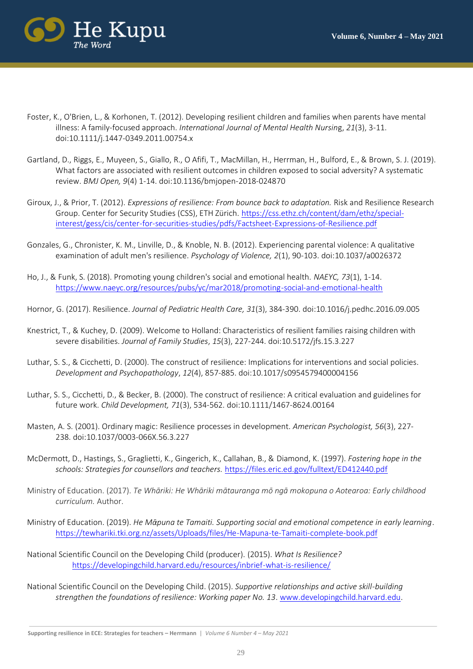

- Foster, K., O'Brien, L., & Korhonen, T. (2012). Developing resilient children and families when parents have mental illness: A family‐focused approach. *International Journal of Mental Health Nursin*g, *21*(3), 3-11. [doi:10.1111/j.1447-0349.2011.00754.x](https://doi.org/10.1111/j.1447-0349.2011.00754.x)
- Gartland, D., Riggs, E., Muyeen, S., Giallo, R., O Afifi, T., MacMillan, H., Herrman, H., Bulford, E., & Brown, S. J. (2019). What factors are associated with resilient outcomes in children exposed to social adversity? A systematic review. *BMJ Open, 9*(4) 1-14. doi:10.1136/bmjopen-2018-024870
- Giroux, J., & Prior, T. (2012). *Expressions of resilience: From bounce back to adaptation.* Risk and Resilience Research Group. Center for Security Studies (CSS), ETH Zürich. [https://css.ethz.ch/content/dam/ethz/special](https://css.ethz.ch/content/dam/ethz/special-interest/gess/cis/center-for-securities-studies/pdfs/Factsheet-Expressions-of-Resilience.pdf)[interest/gess/cis/center-for-securities-studies/pdfs/Factsheet-Expressions-of-Resilience.pdf](https://css.ethz.ch/content/dam/ethz/special-interest/gess/cis/center-for-securities-studies/pdfs/Factsheet-Expressions-of-Resilience.pdf)
- Gonzales, G., Chronister, K. M., Linville, D., & Knoble, N. B. (2012). Experiencing parental violence: A qualitative examination of adult men's resilience. *Psychology of Violence, 2*(1), 90-103. doi[:10.1037/a0026372](https://www.researchgate.net/deref/http%3A%2F%2Fdx.doi.org%2F10.1037%2Fa0026372?_sg%5B0%5D=P8DjMFt_S8dkE9q1OuWPS4GlU45XnBxa4mISIxPKig9UaIsE3sZgOjNQut6zPLPd2Ra5tioJIdHDL6mLQ87PAzZaAA.bVslzRFkllGfQkO8pPqUymfwUSrvNPt5VargZYfwnwK4wtkIUuhEUG-wVDexZiNYweWISjvwD2dOeIuKYutZzw)
- Ho, J., & Funk, S. (2018). Promoting young children's social and emotional health. *NAEYC, 73*(1), 1-14. <https://www.naeyc.org/resources/pubs/yc/mar2018/promoting-social-and-emotional-health>
- Hornor, G. (2017). Resilience. *Journal of Pediatric Health Care, 31*(3), 384-390[. doi:10.1016/j.pedhc.2016.09.005](https://dio.org/10.1016/j.pedhc.2016.09.005)
- Knestrict, T., & Kuchey, D. (2009). Welcome to Holland: Characteristics of resilient families raising children with severe disabilities. *Journal of Family Studies*, *15*(3), 227-244. doi[:10.5172/jfs.15.3.227](https://doi.org/10.5172/jfs.15.3.227)
- Luthar, S. S., & Cicchetti, D. (2000). The construct of resilience: Implications for interventions and social policies. *Development and Psychopathology*, *12*(4), 857-885. doi:10.1017/s0954579400004156
- Luthar, S. S., Cicchetti, D., & Becker, B. (2000). The construct of resilience: A critical evaluation and guidelines for future work. *Child Development, 71*(3), 534-562. doi[:10.1111/1467-8624.00164](https://doi.org/10.1111/1467-8624.00164)
- Masten, A. S. (2001). Ordinary magic: Resilience processes in development. *American Psychologist, 56*(3), 227- 238. [doi:10.1037/0003-066X.56.3.227](https://psycnet.apa.org/doi/10.1037/0003-066X.56.3.227)
- McDermott, D., Hastings, S., Graglietti, K., Gingerich, K., Callahan, B., & Diamond, K. (1997). *Fostering hope in the schools: Strategies for counsellors and teachers.* <https://files.eric.ed.gov/fulltext/ED412440.pdf>
- Ministry of Education. (2017). *Te Whāriki: He Whāriki mātauranga mō ngā mokopuna o Aotearoa: Early childhood curriculum.* Author.
- Ministry of Education. (2019). *He Mᾱpuna te Tamaiti. Supporting social and emotional competence in early learning*. <https://tewhariki.tki.org.nz/assets/Uploads/files/He-Mapuna-te-Tamaiti-complete-book.pdf>
- National Scientific Council on the Developing Child (producer). (2015). *What Is Resilience?* <https://developingchild.harvard.edu/resources/inbrief-what-is-resilience/>
- National Scientific Council on the Developing Child. (2015). *Supportive relationships and active skill-building strengthen the foundations of resilience: Working paper No. 13*. [www.developingchild.harvard.edu.](http://www.developingchild.harvard.edu/)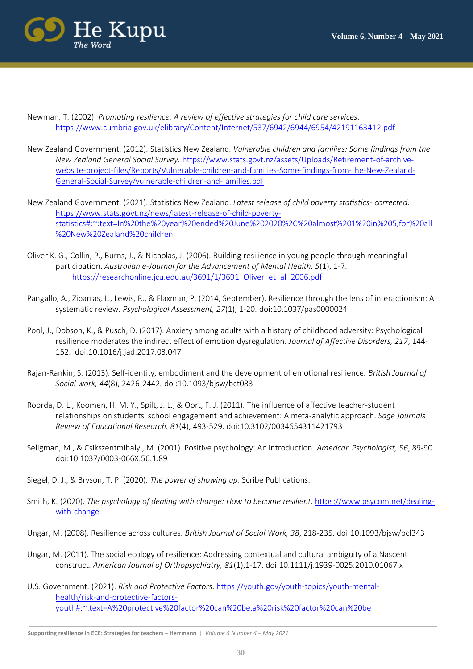

- Newman, T. (2002). *Promoting resilience: A review of effective strategies for child care services*. <https://www.cumbria.gov.uk/elibrary/Content/Internet/537/6942/6944/6954/42191163412.pdf>
- New Zealand Government. (2012). Statistics New Zealand. *Vulnerable children and families: Some findings from the New Zealand General Social Survey.* [https://www.stats.govt.nz/assets/Uploads/Retirement-of-archive](https://www.stats.govt.nz/assets/Uploads/Retirement-of-archive-website-project-files/Reports/Vulnerable-children-and-families-Some-findings-from-the-New-Zealand-General-Social-Survey/vulnerable-children-and-families.pdf)[website-project-files/Reports/Vulnerable-children-and-families-Some-findings-from-the-New-Zealand-](https://www.stats.govt.nz/assets/Uploads/Retirement-of-archive-website-project-files/Reports/Vulnerable-children-and-families-Some-findings-from-the-New-Zealand-General-Social-Survey/vulnerable-children-and-families.pdf)[General-Social-Survey/vulnerable-children-and-families.pdf](https://www.stats.govt.nz/assets/Uploads/Retirement-of-archive-website-project-files/Reports/Vulnerable-children-and-families-Some-findings-from-the-New-Zealand-General-Social-Survey/vulnerable-children-and-families.pdf)
- New Zealand Government. (2021). Statistics New Zealand. *Latest release of child poverty statistics- corrected*. [https://www.stats.govt.nz/news/latest-release-of-child-poverty](https://www.stats.govt.nz/news/latest-release-of-child-poverty-statistics#:~:text=In%20the%20year%20ended%20June%202020%2C%20almost%201%20in%205,for%20all%20New%20Zealand%20children)[statistics#:~:text=In%20the%20year%20ended%20June%202020%2C%20almost%201%20in%205,for%20all](https://www.stats.govt.nz/news/latest-release-of-child-poverty-statistics#:~:text=In%20the%20year%20ended%20June%202020%2C%20almost%201%20in%205,for%20all%20New%20Zealand%20children) [%20New%20Zealand%20children](https://www.stats.govt.nz/news/latest-release-of-child-poverty-statistics#:~:text=In%20the%20year%20ended%20June%202020%2C%20almost%201%20in%205,for%20all%20New%20Zealand%20children)
- Oliver K. G., Collin, P., Burns, J., & Nicholas, J. (2006). Building resilience in young people through meaningful participation. *Australian e-Journal for the Advancement of Mental Health, 5*(1), 1-7. [https://researchonline.jcu.edu.au/3691/1/3691\\_Oliver\\_et\\_al\\_2006.pdf](https://researchonline.jcu.edu.au/3691/1/3691_Oliver_et_al_2006.pdf)
- Pangallo, A., Zibarras, L., Lewis, R., & Flaxman, P. (2014, September). Resilience through the lens of interactionism: A systematic review. *Psychological Assessment, 27*(1), 1-20. [doi:10.1037/pas0000024](http://dx.doi.org/10.1037/pas0000024)
- Pool, J., Dobson, K., & Pusch, D. (2017). Anxiety among adults with a history of childhood adversity: Psychological resilience moderates the indirect effect of emotion dysregulation. *Journal of Affective Disorders, 217*, 144- 152. [doi:10.1016/j.jad.2017.03.047](https://dio.org/10.1016/j.jad.2017.03.047)
- Rajan-Rankin, S. (2013). Self-identity, embodiment and the development of emotional resilience. *British Journal of Social work, 44*(8), 2426-2442*.* [doi:](https://doi.org/)[10.1093/bjsw/bct083](http://dx.doi.org/10.1093/bjsw/bct083)
- [Roorda,](https://journals.sagepub.com/action/doSearch?target=default&ContribAuthorStored=Roorda%2C+Debora+L) D. L., [Koomen,](https://journals.sagepub.com/action/doSearch?target=default&ContribAuthorStored=Koomen%2C+Helma+M+Y) H. M. Y., Spilt, J. L., & Oort, F. J. (2011). The influence of affective teacher-student relationships on students' school engagement and achievement: A meta-analytic approach. *Sage Journals Review of Educational Research, 81*(4), 493-529. [doi:10.3102/0034654311421793](https://doi.org/10.3102%2F0034654311421793)
- Seligman, M., & Csikszentmihalyi, M. (2001). Positive psychology: An introduction. *American Psychologist, 56*, 89-90. doi[:10.1037/0003-066X.56.1.89](https://www.researchgate.net/deref/http%3A%2F%2Fdx.doi.org%2F10.1037%2F0003-066X.56.1.89?_sg%5B0%5D=G6SXnHeZGMI-ON0X58_oZDZvktjihXmvHGn9mNSNKyYnfywPSM1uGRcBoSfYMDFtbxmtSzK73uMkwYd21GX0O90-5A.Ihopz0DZrBENbo1e5Y67vQ8A3Si1oCcB628wVTDL6k9wFluULkZCI3jU2YQgMzCitaZiqS-4bhP2Uo9ygaGzTA)
- Siegel, D. J., & Bryson, T. P. (2020). *The power of showing up*. Scribe Publications.
- Smith, K. (2020). *The psychology of dealing with change: How to become resilient*. https://www.psycom.net/dealingwith-change
- Ungar, M. (2008). Resilience across cultures. *British Journal of Social Work, 38*, 218-235. doi:10.1093/bjsw/bcl343
- Ungar, M. (2011). The social ecology of resilience: Addressing contextual and cultural ambiguity of a Nascent construct. *American Journal of Orthopsychiatry, 81*(1),1-17. do[i:10.1111/j.1939-0025.2010.01067.x](http://dx.doi.org/10.1111/j.1939-0025.2010.01067.x)
- U.S. Government. (2021). *Risk and Protective Factors*. [https://youth.gov/youth-topics/youth-mental](https://youth.gov/youth-topics/youth-mental-health/risk-and-protective-factors-)[health/risk-and-protective-factors](https://youth.gov/youth-topics/youth-mental-health/risk-and-protective-factors-)youth#:~:text=A%20protective%20factor%20can%20be,a%20risk%20factor%20can%20be

**Supporting resilience in ECE: Strategies for teachers – Herrmann** | *Volume 6 Number 4 – May 2021*